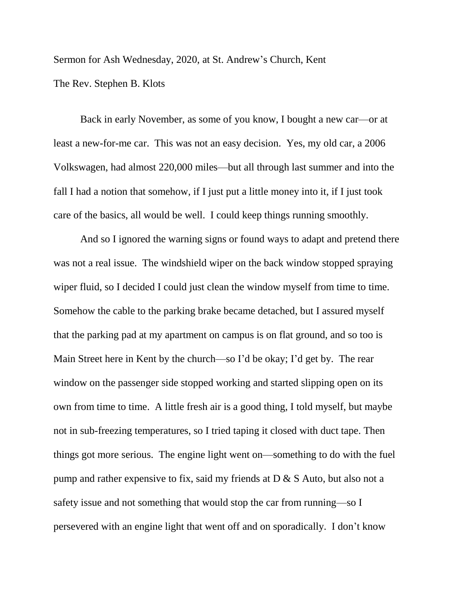Sermon for Ash Wednesday, 2020, at St. Andrew's Church, Kent The Rev. Stephen B. Klots

Back in early November, as some of you know, I bought a new car—or at least a new-for-me car. This was not an easy decision. Yes, my old car, a 2006 Volkswagen, had almost 220,000 miles—but all through last summer and into the fall I had a notion that somehow, if I just put a little money into it, if I just took care of the basics, all would be well. I could keep things running smoothly.

And so I ignored the warning signs or found ways to adapt and pretend there was not a real issue. The windshield wiper on the back window stopped spraying wiper fluid, so I decided I could just clean the window myself from time to time. Somehow the cable to the parking brake became detached, but I assured myself that the parking pad at my apartment on campus is on flat ground, and so too is Main Street here in Kent by the church—so I'd be okay; I'd get by. The rear window on the passenger side stopped working and started slipping open on its own from time to time. A little fresh air is a good thing, I told myself, but maybe not in sub-freezing temperatures, so I tried taping it closed with duct tape. Then things got more serious. The engine light went on—something to do with the fuel pump and rather expensive to fix, said my friends at D & S Auto, but also not a safety issue and not something that would stop the car from running—so I persevered with an engine light that went off and on sporadically. I don't know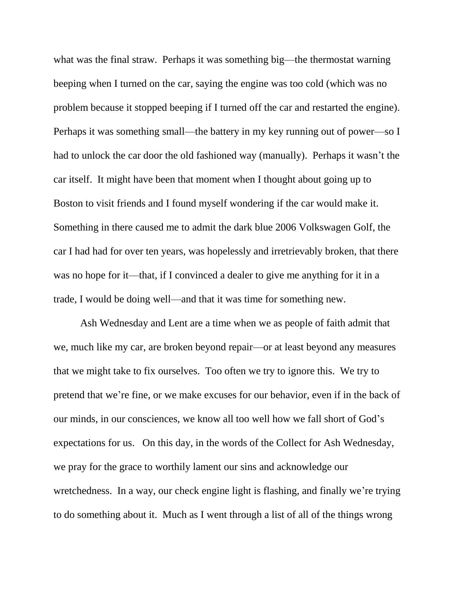what was the final straw. Perhaps it was something big—the thermostat warning beeping when I turned on the car, saying the engine was too cold (which was no problem because it stopped beeping if I turned off the car and restarted the engine). Perhaps it was something small—the battery in my key running out of power—so I had to unlock the car door the old fashioned way (manually). Perhaps it wasn't the car itself. It might have been that moment when I thought about going up to Boston to visit friends and I found myself wondering if the car would make it. Something in there caused me to admit the dark blue 2006 Volkswagen Golf, the car I had had for over ten years, was hopelessly and irretrievably broken, that there was no hope for it—that, if I convinced a dealer to give me anything for it in a trade, I would be doing well—and that it was time for something new.

Ash Wednesday and Lent are a time when we as people of faith admit that we, much like my car, are broken beyond repair—or at least beyond any measures that we might take to fix ourselves. Too often we try to ignore this. We try to pretend that we're fine, or we make excuses for our behavior, even if in the back of our minds, in our consciences, we know all too well how we fall short of God's expectations for us. On this day, in the words of the Collect for Ash Wednesday, we pray for the grace to worthily lament our sins and acknowledge our wretchedness. In a way, our check engine light is flashing, and finally we're trying to do something about it. Much as I went through a list of all of the things wrong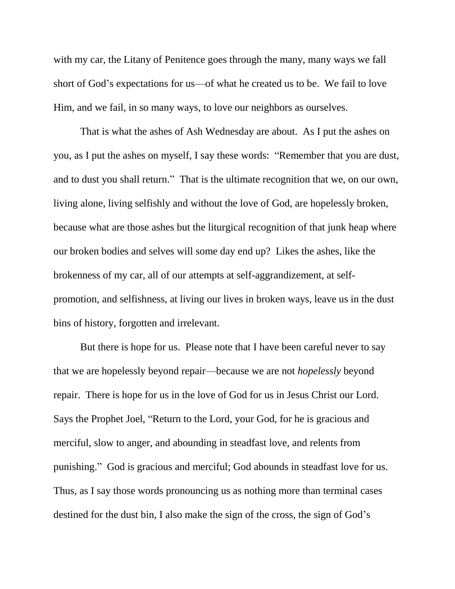with my car, the Litany of Penitence goes through the many, many ways we fall short of God's expectations for us—of what he created us to be. We fail to love Him, and we fail, in so many ways, to love our neighbors as ourselves.

That is what the ashes of Ash Wednesday are about. As I put the ashes on you, as I put the ashes on myself, I say these words: "Remember that you are dust, and to dust you shall return." That is the ultimate recognition that we, on our own, living alone, living selfishly and without the love of God, are hopelessly broken, because what are those ashes but the liturgical recognition of that junk heap where our broken bodies and selves will some day end up? Likes the ashes, like the brokenness of my car, all of our attempts at self-aggrandizement, at selfpromotion, and selfishness, at living our lives in broken ways, leave us in the dust bins of history, forgotten and irrelevant.

But there is hope for us. Please note that I have been careful never to say that we are hopelessly beyond repair—because we are not *hopelessly* beyond repair. There is hope for us in the love of God for us in Jesus Christ our Lord. Says the Prophet Joel, "Return to the Lord, your God, for he is gracious and merciful, slow to anger, and abounding in steadfast love, and relents from punishing." God is gracious and merciful; God abounds in steadfast love for us. Thus, as I say those words pronouncing us as nothing more than terminal cases destined for the dust bin, I also make the sign of the cross, the sign of God's